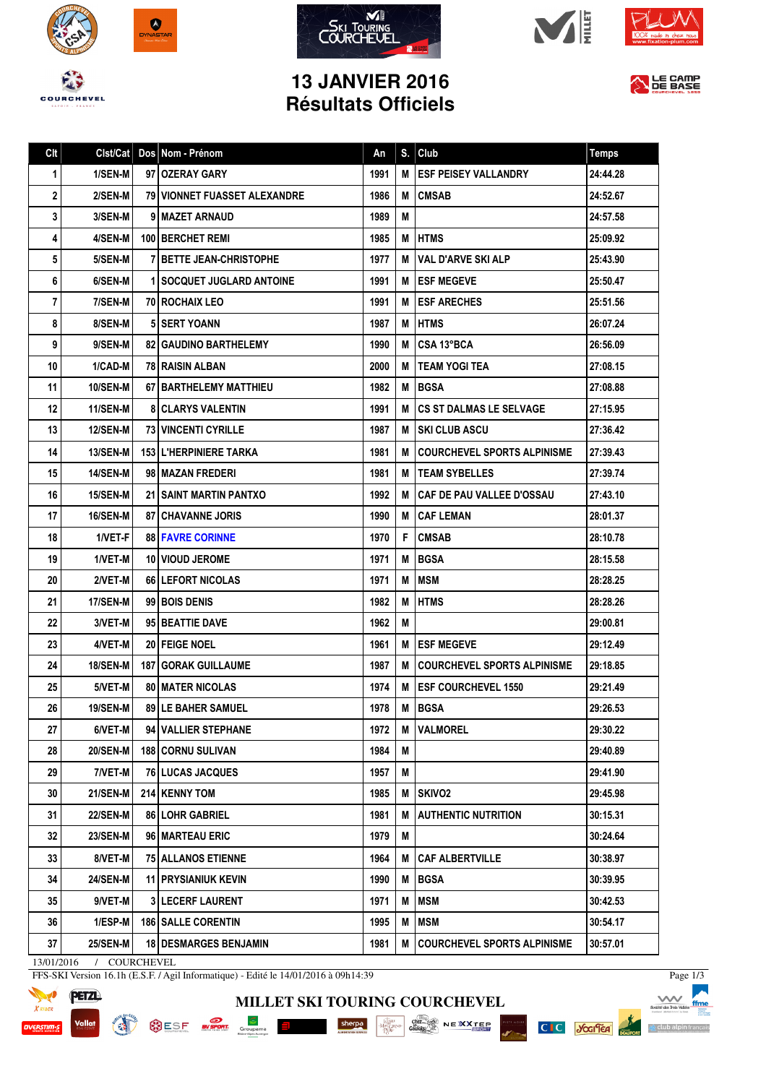









## **13 JANVIER 2016 Résultats Officiels**



| Clt | Clst/Cat         | Dos Nom - Prénom                 | An   | S. | Club                                 | <b>Temps</b> |
|-----|------------------|----------------------------------|------|----|--------------------------------------|--------------|
| 1   | $1/SEM-M$        | 97 OZERAY GARY                   | 1991 | М  | <b>ESF PEISEY VALLANDRY</b>          | 24:44.28     |
| 2   | 2/SEN-M          | 79 VIONNET FUASSET ALEXANDRE     | 1986 | М  | <b>CMSAB</b>                         | 24:52.67     |
| 3   | 3/SEN-M          | 9 I MAZET ARNAUD                 | 1989 | M  |                                      | 24:57.58     |
| 4   | 4/SEN-M          | <b>100 BERCHET REMI</b>          | 1985 | M  | <b>HTMS</b>                          | 25:09.92     |
| 5   | 5/SEN-M          | 7 BETTE JEAN-CHRISTOPHE          | 1977 | М  | VAL D'ARVE SKI ALP                   | 25:43.90     |
| 6   | 6/SEN-M          | <b>1 SOCQUET JUGLARD ANTOINE</b> | 1991 | M  | <b>ESF MEGEVE</b>                    | 25:50.47     |
| 7   | 7/SEN-M          | <b>70 ROCHAIX LEO</b>            | 1991 | М  | <b>IESF ARECHES</b>                  | 25:51.56     |
| 8   | 8/SEN-M          | <b>5 SERT YOANN</b>              | 1987 | М  | <b>HTMS</b>                          | 26:07.24     |
| 9   | 9/SEN-M          | <b>82 GAUDINO BARTHELEMY</b>     | 1990 | м  | l CSA 13°BCA                         | 26:56.09     |
| 10  | 1/CAD-M          | <b>78 RAISIN ALBAN</b>           | 2000 | М  | I TEAM YOGI TEA                      | 27:08.15     |
| 11  | 10/SEN-M         | 67   BARTHELEMY MATTHIEU         | 1982 | M  | I BGSA                               | 27:08.88     |
| 12  | 11/SEN-M         | <b>8 CLARYS VALENTIN</b>         | 1991 | М  | <b>CS ST DALMAS LE SELVAGE</b>       | 27:15.95     |
| 13  | <b>12/SEN-M</b>  | <b>73 VINCENTI CYRILLE</b>       | 1987 | M  | I SKI CLUB ASCU                      | 27:36.42     |
| 14  | <b>13/SEN-M</b>  | <b>153 L'HERPINIERE TARKA</b>    | 1981 | M  | <b>COURCHEVEL SPORTS ALPINISME</b>   | 27:39.43     |
| 15  | 14/SEN-M         | 98 MAZAN FREDERI                 | 1981 | м  | <b>ITEAM SYBELLES</b>                | 27:39.74     |
| 16  | <b>15/SEN-M</b>  | <b>21 I SAINT MARTIN PANTXO</b>  | 1992 | М  | <b>CAF DE PAU VALLEE D'OSSAU</b>     | 27:43.10     |
| 17  | 16/SEN-M         | <b>87 CHAVANNE JORIS</b>         | 1990 | м  | <b>CAF LEMAN</b>                     | 28:01.37     |
| 18  | 1/VET-F          | <b>88 FAVRE CORINNE</b>          | 1970 | F. | <b>CMSAB</b>                         | 28:10.78     |
| 19  | 1/VET-M          | <b>10 VIOUD JEROME</b>           | 1971 | M  | <b>IBGSA</b>                         | 28:15.58     |
| 20  | 2/VET-M          | 66   LEFORT NICOLAS              | 1971 | М  | <b>MSM</b>                           | 28:28.25     |
| 21  | 17/SEN-M         | 99 BOIS DENIS                    | 1982 | M  | <b>HTMS</b>                          | 28:28.26     |
| 22  | 3/VET-M          | 95 BEATTIE DAVE                  | 1962 | М  |                                      | 29:00.81     |
| 23  | 4/VET-M          | 20 FEIGE NOEL                    | 1961 | M  | <b>LESF MEGEVE</b>                   | 29:12.49     |
| 24  | 18/SEN-M         | <b>187   GORAK GUILLAUME</b>     | 1987 | м  | <b>I COURCHEVEL SPORTS ALPINISME</b> | 29:18.85     |
| 25  | 5/VET-M          | <b>80 MATER NICOLAS</b>          | 1974 | М  | <b>ESF COURCHEVEL 1550</b>           | 29:21.49     |
| 26  | <b>19/SEN-MI</b> | 89 LE BAHER SAMUEL               | 1978 | M  | <b>BGSA</b>                          | 29:26.53     |
| 27  | 6/VET-M          | 94 VALLIER STEPHANE              | 1972 | M  | <b>VALMOREL</b>                      | 29:30.22     |
| 28  | <b>20/SEN-M</b>  | <b>188   CORNU SULIVAN</b>       | 1984 | M  |                                      | 29:40.89     |
| 29  | 7/VET-M          | <b>76 LUCAS JACQUES</b>          | 1957 | Μ  |                                      | 29:41.90     |
| 30  | <b>21/SEN-M</b>  | 214 KENNY TOM                    | 1985 | M  | <b>SKIVO2</b>                        | 29:45.98     |
| 31  | <b>22/SEN-M</b>  | 86 LOHR GABRIEL                  | 1981 | M  | <b>AUTHENTIC NUTRITION</b>           | 30:15.31     |
| 32  | 23/SEN-M         | 96 MARTEAU ERIC                  | 1979 | Μ  |                                      | 30:24.64     |
| 33  | 8/VET-M          | <b>75 ALLANOS ETIENNE</b>        | 1964 | M  | <b>CAF ALBERTVILLE</b>               | 30:38.97     |
| 34  | <b>24/SEN-M</b>  | <b>11 PRYSIANIUK KEVIN</b>       | 1990 | M  | <b>BGSA</b>                          | 30:39.95     |
| 35  | 9/VET-M          | <b>3 LECERF LAURENT</b>          | 1971 | M  | <b>MSM</b>                           | 30:42.53     |
| 36  | 1/ESP-M          | <b>186 SALLE CORENTIN</b>        | 1995 | Μ  | <b>MSM</b>                           | 30:54.17     |
| 37  | <b>25/SEN-M</b>  | <b>18   DESMARGES BENJAMIN</b>   | 1981 | M  | COURCHEVEL SPORTS ALPINISME          | 30:57.01     |

**MILLET SKI TOURING COURCHEVEL**

SESE NEWS Groupons E Sherpe Sherpe Conserved NEWS NEXT CONSERVED ON A REAL PROPERTY OF SALES

13/01/2016 / COURCHEVEL

FFS-SKI Version 16.1h (E.S.F. / Agil Informatique) - Edité le 14/01/2016 à 09h14:39



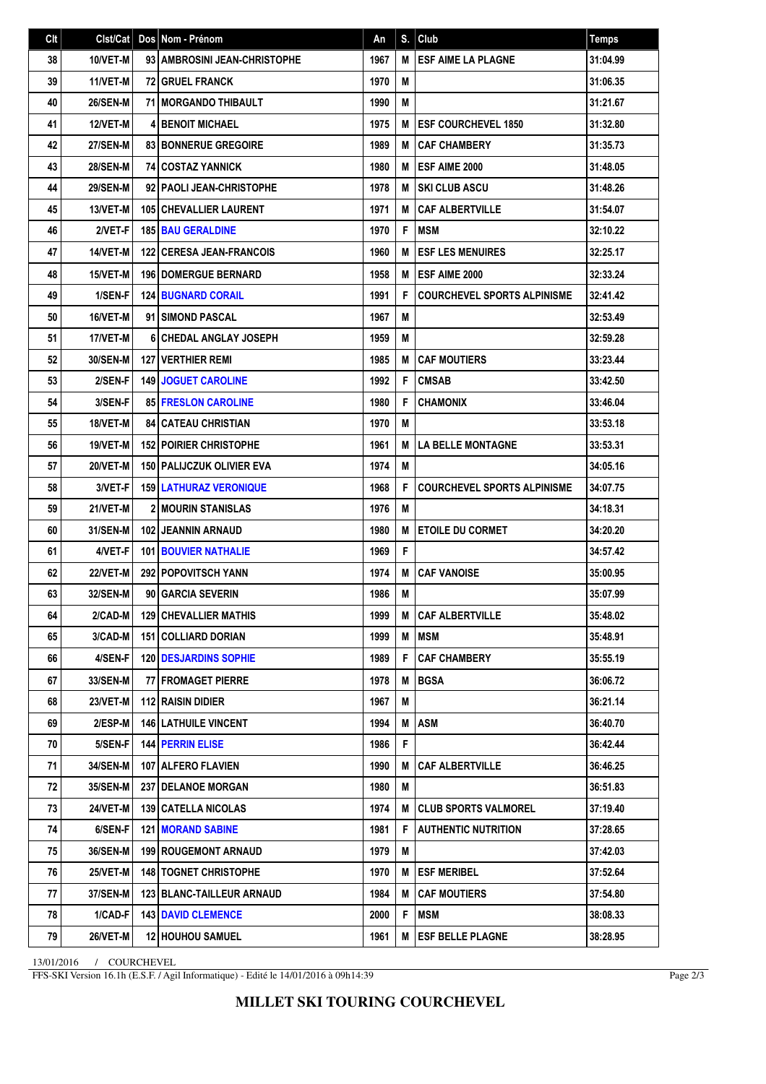| Clt |                 | Cist/Cat   Dos   Nom - Prénom      | An   | S. | Club                               | <b>Temps</b> |
|-----|-----------------|------------------------------------|------|----|------------------------------------|--------------|
| 38  | 10/VET-M        | 93   AMBROSINI JEAN-CHRISTOPHE     | 1967 | M  | <b>ESF AIME LA PLAGNE</b>          | 31:04.99     |
| 39  | 11/VET-M        | <b>72 GRUEL FRANCK</b>             | 1970 | M  |                                    | 31:06.35     |
| 40  | <b>26/SEN-M</b> | <b>71 I MORGANDO THIBAULT</b>      | 1990 | M  |                                    | 31:21.67     |
| 41  | <b>12/VET-M</b> | <b>4 BENOIT MICHAEL</b>            | 1975 | M  | <b>IESF COURCHEVEL 1850</b>        | 31:32.80     |
| 42  | <b>27/SEN-M</b> | <b>83 BONNERUE GREGOIRE</b>        | 1989 | М  | <b>CAF CHAMBERY</b>                | 31:35.73     |
| 43  | <b>28/SEN-M</b> | <b>74 COSTAZ YANNICK</b>           | 1980 | М  | <b>IESF AIME 2000</b>              | 31:48.05     |
| 44  | <b>29/SEN-M</b> | 92   PAOLI JEAN-CHRISTOPHE         | 1978 | М  | <b>SKI CLUB ASCU</b>               | 31:48.26     |
| 45  | 13/VET-M        | <b>105 CHEVALLIER LAURENT</b>      | 1971 | м  | <b>CAF ALBERTVILLE</b>             | 31:54.07     |
| 46  | 2/VET-F         | <b>185 BAU GERALDINE</b>           | 1970 | F  | I MSM                              | 32:10.22     |
| 47  | 14/VET-M        | <b>122   CERESA JEAN-FRANCOIS</b>  | 1960 | М  | <b>ESF LES MENUIRES</b>            | 32:25.17     |
| 48  | 15/VET-M        | <b>196   DOMERGUE BERNARD</b>      | 1958 | М  | <b>IESF AIME 2000</b>              | 32:33.24     |
| 49  | 1/SEN-F         | <b>124 BUGNARD CORAIL</b>          | 1991 | F  | <b>COURCHEVEL SPORTS ALPINISME</b> | 32:41.42     |
| 50  | 16/VET-M        | 91 SIMOND PASCAL                   | 1967 | M  |                                    | 32:53.49     |
| 51  | 17/VET-M        | <b>6 CHEDAL ANGLAY JOSEPH</b>      | 1959 | M  |                                    | 32:59.28     |
| 52  | <b>30/SEN-M</b> | <b>127   VERTHIER REMI</b>         | 1985 | M  | <b>CAF MOUTIERS</b>                | 33:23.44     |
| 53  | 2/SEN-F         | <b>149 JOGUET CAROLINE</b>         | 1992 | F  | <b>CMSAB</b>                       | 33:42.50     |
| 54  | 3/SEN-F         | <b>85 FRESLON CAROLINE</b>         | 1980 | F  | <b>CHAMONIX</b>                    | 33:46.04     |
| 55  | 18/VET-M        | <b>84   CATEAU CHRISTIAN</b>       | 1970 | M  |                                    | 33:53.18     |
| 56  | 19/VET-M        | <b>152 POIRIER CHRISTOPHE</b>      | 1961 | М  | <b>LA BELLE MONTAGNE</b>           | 33:53.31     |
| 57  | 20/VET-M        | <b>150   PALIJCZUK OLIVIER EVA</b> | 1974 | M  |                                    | 34:05.16     |
| 58  | 3/VET-F         | <b>159 LATHURAZ VERONIQUE</b>      | 1968 | F  | <b>COURCHEVEL SPORTS ALPINISME</b> | 34:07.75     |
| 59  | 21/VET-M        | <b>2 MOURIN STANISLAS</b>          | 1976 | M  |                                    | 34:18.31     |
| 60  | 31/SEN-M        | <b>102 JEANNIN ARNAUD</b>          | 1980 | M  | <b>LETOILE DU CORMET</b>           | 34:20.20     |
| 61  | 4/VET-F         | <b>101 BOUVIER NATHALIE</b>        | 1969 | F  |                                    | 34:57.42     |
| 62  | 22/VET-M        | <b>292 POPOVITSCH YANN</b>         | 1974 | M  | <b>CAF VANOISE</b>                 | 35:00.95     |
| 63  | 32/SEN-M        | 90 GARCIA SEVERIN                  | 1986 | M  |                                    | 35:07.99     |
| 64  | $2/CAD-M$       | <b>129 CHEVALLIER MATHIS</b>       | 1999 |    | M CAF ALBERTVILLE                  | 35:48.02     |
| 65  | 3/CAD-M         | 151   COLLIARD DORIAN              | 1999 |    | <b>M</b> MSM                       | 35:48.91     |
| 66  | 4/SEN-F         | <b>120   DESJARDINS SOPHIE</b>     | 1989 | F  | <b>CAF CHAMBERY</b>                | 35:55.19     |
| 67  | 33/SEN-M        | <b>77 FROMAGET PIERRE</b>          | 1978 | М  | <b>IBGSA</b>                       | 36:06.72     |
| 68  | 23/VET-M        | 112 RAISIN DIDIER                  | 1967 | M  |                                    | 36:21.14     |
| 69  | 2/ESP-M         | <b>146   LATHUILE VINCENT</b>      | 1994 |    | <b>M</b> LASM                      | 36:40.70     |
| 70  | 5/SEN-F         | <b>144 PERRIN ELISE</b>            | 1986 | F  |                                    | 36:42.44     |
| 71  | 34/SEN-M        | 107 ALFERO FLAVIEN                 | 1990 | M  | l CAF ALBERTVILLE                  | 36:46.25     |
| 72  | 35/SEN-M        | <b>237   DELANOE MORGAN</b>        | 1980 | М  |                                    | 36:51.83     |
| 73  | 24/VET-M        | <b>139 CATELLA NICOLAS</b>         | 1974 |    | M CLUB SPORTS VALMOREL             | 37:19.40     |
| 74  | 6/SEN-F         | <b>121   MORAND SABINE</b>         | 1981 | F  | <b>AUTHENTIC NUTRITION</b>         | 37:28.65     |
| 75  | 36/SEN-M        | <b>199 ROUGEMONT ARNAUD</b>        | 1979 | M  |                                    | 37:42.03     |
| 76  | 25/VET-M        | <b>148   TOGNET CHRISTOPHE</b>     | 1970 |    | <b>M LESF MERIBEL</b>              | 37:52.64     |
| 77  | <b>37/SEN-M</b> | <b>123 BLANC-TAILLEUR ARNAUD</b>   | 1984 |    | <b>M</b> CAF MOUTIERS              | 37:54.80     |
| 78  | 1/CAD-F         | <b>143   DAVID CLEMENCE</b>        | 2000 | F  | <b>MSM</b>                         | 38:08.33     |
| 79  | 26/VET-M        | <b>12 HOUHOU SAMUEL</b>            | 1961 | М  | <b>ESF BELLE PLAGNE</b>            | 38:28.95     |

13/01/2016 / COURCHEVEL

FFS-SKI Version 16.1h (E.S.F. / Agil Informatique) - Edité le 14/01/2016 à 09h14:39

Page 2/3